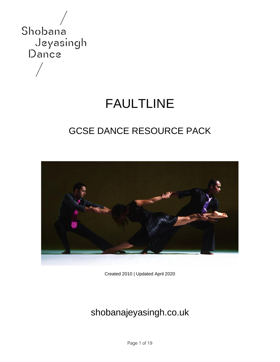

# FAULTLINE

# GCSE DANCE RESOURCE PACK



Created 2010 | Updated April 2020

# shobanajeyasingh.co.uk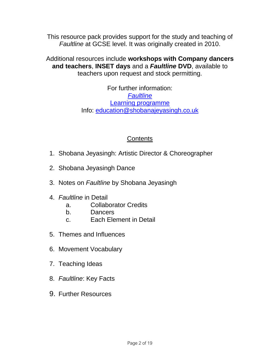This resource pack provides support for the study and teaching of *Faultline* at GCSE level. It was originally created in 2010.

Additional resources include **workshops with Company dancers and teachers**, **INSET days** and a *Faultline* **DVD**, available to teachers upon request and stock permitting.

> For further information: *[Faultline](https://www.shobanajeyasingh.co.uk/works/faultline/)* [Learning programme](https://www.shobanajeyasingh.co.uk/learning/) Info: [education@shobanajeyasingh.co.uk](mailto:education@shobanajeyasingh.co.uk)

### **Contents**

- 1. Shobana Jeyasingh: Artistic Director & Choreographer
- 2. Shobana Jeyasingh Dance
- 3. Notes on *Faultline* by Shobana Jeyasingh
- 4. *Faultline* in Detail
	- a. Collaborator Credits
	- b. Dancers
	- c. Each Element in Detail
- 5. Themes and Influences
- 6. Movement Vocabulary
- 7. Teaching Ideas
- 8. *Faultline*: Key Facts
- 9. Further Resources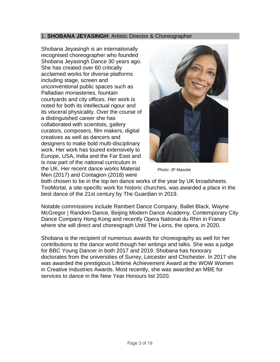#### 1. **SHOBANA JEYASINGH**: Artistic Director & Choreographer

Shobana Jeyasingh is an internationally recognised choreographer who founded Shobana Jeyasingh Dance 30 years ago. She has created over 60 critically acclaimed works for diverse platforms including stage, screen and unconventional public spaces such as Palladian monasteries, fountain courtyards and city offices. Her work is noted for both its intellectual rigour and its visceral physicality. Over the course of a distinguished career she has collaborated with scientists, gallery curators, composers, film makers, digital creatives as well as dancers and designers to make bold multi-disciplinary work. Her work has toured extensively to Europe, USA, India and the Far East and is now part of the national curriculum in the UK. Her recent dance works Material Men (2017) and Contagion (2018) were



Photo: JP Masclet

both chosen to be in the top ten dance works of the year by UK broadsheets. TooMortal, a site-specific work for historic churches, was awarded a place in the best dance of the 21st century by The Guardian in 2019.

Notable commissions include Rambert Dance Company, Ballet Black, Wayne McGregor | Random Dance, Beijing Modern Dance Academy, Contemporary City Dance Company Hong Kong and recently Opera National du Rhin in France where she will direct and choreograph Until The Lions, the opera, in 2020.

Shobana is the recipient of numerous awards for choreography as well for her contributions to the dance world though her writings and talks. She was a judge for BBC Young Dancer in both 2017 and 2019. Shobana has honorary doctorates from the universities of Surrey, Leicester and Chichester. In 2017 she was awarded the prestigious Lifetime Achievement Award at the WOW Women in Creative Industries Awards. Most recently, she was awarded an MBE for services to dance in the New Year Honours list 2020.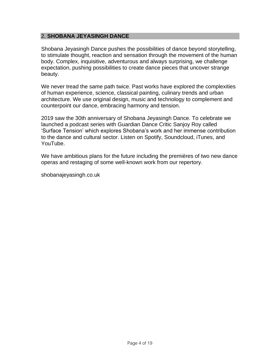#### 2. **SHOBANA JEYASINGH DANCE**

Shobana Jeyasingh Dance pushes the possibilities of dance beyond storytelling, to stimulate thought, reaction and sensation through the movement of the human body. Complex, inquisitive, adventurous and always surprising, we challenge expectation, pushing possibilities to create dance pieces that uncover strange beauty.

We never tread the same path twice. Past works have explored the complexities of human experience, science, classical painting, culinary trends and urban architecture. We use original design, music and technology to complement and counterpoint our dance, embracing harmony and tension.

2019 saw the 30th anniversary of Shobana Jeyasingh Dance. To celebrate we launched a podcast series with Guardian Dance Critic Sanjoy Roy called 'Surface Tension' which explores Shobana's work and her immense contribution to the dance and cultural sector. Listen on Spotify, Soundcloud, iTunes, and YouTube.

We have ambitious plans for the future including the premières of two new dance operas and restaging of some well-known work from our repertory.

shobanajeyasingh.co.uk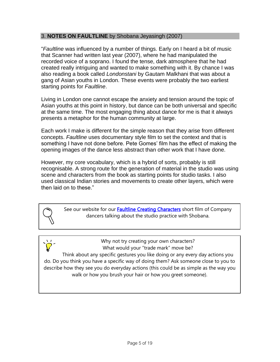#### 3. **NOTES ON FAULTLINE** by Shobana Jeyasingh (2007)

"*Faultline* was influenced by a number of things. Early on I heard a bit of music that Scanner had written last year (2007), where he had manipulated the recorded voice of a soprano. I found the tense, dark atmosphere that he had created really intriguing and wanted to make something with it. By chance I was also reading a book called *Londonstani* by Gautam Malkhani that was about a gang of Asian youths in London. These events were probably the two earliest starting points for *Faultline*.

Living in London one cannot escape the anxiety and tension around the topic of Asian youths at this point in history, but dance can be both universal and specific at the same time. The most engaging thing about dance for me is that it always presents a metaphor for the human community at large.

Each work I make is different for the simple reason that they arise from different concepts. *Faultline* uses documentary style film to set the context and that is something I have not done before. Pete Gomes' film has the effect of making the opening images of the dance less abstract than other work that I have done.

However, my core vocabulary, which is a hybrid of sorts, probably is still recognisable. A strong route for the generation of material in the studio was using scene and characters from the book as starting points for studio tasks. I also used classical Indian stories and movements to create other layers, which were then laid on to these."

> See our website for our **Faultline Creating Characters** short film of Company dancers talking about the studio practice with Shobana.

> > Why not try creating your own characters? What would your "trade mark" move be?

Think about any specific gestures you like doing or any every day actions you do. Do you think you have a specific way of doing them? Ask someone close to you to describe how they see you do everyday actions (this could be as simple as the way you walk or how you brush your hair or how you greet someone).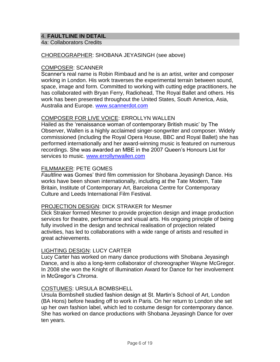#### 4. **FAULTLINE IN DETAIL**

4a: Collaborators Credits

#### CHOREOGRAPHER: SHOBANA JEYASINGH (see above)

#### COMPOSER: SCANNER

Scanner's real name is Robin Rimbaud and he is an artist, writer and composer working in London. His work traverses the experimental terrain between sound, space, image and form. Committed to working with cutting edge practitioners, he has collaborated with Bryan Ferry, Radiohead, The Royal Ballet and others. His work has been presented throughout the United States, South America, Asia, Australia and Europe. [www.scannerdot.com](http://www.scannerdot.com/)

#### COMPOSER FOR LIVE VOICE: ERROLLYN WALLEN

Hailed as the 'renaissance woman of contemporary British music' by The Observer, Wallen is a highly acclaimed singer-songwriter and composer. Widely commissioned (including the Royal Opera House, BBC and Royal Ballet) she has performed internationally and her award-winning music is featured on numerous recordings. She was awarded an MBE in the 2007 Queen's Honours List for services to music. [www.errollynwallen.com](http://www.errollynwallen.com/)

#### FILMMAKER: PETE GOMES

*Faultline* was Gomes' third film commission for Shobana Jeyasingh Dance. His works have been shown internationally, including at the Tate Modern, Tate Britain, Institute of Contemporary Art, Barcelona Centre for Contemporary Culture and Leeds International Film Festival.

#### PROJECTION DESIGN: DICK STRAKER for Mesmer

Dick Straker formed Mesmer to provide projection design and image production services for theatre, performance and visual arts. His ongoing principle of being fully involved in the design and technical realisation of projection related activities, has led to collaborations with a wide range of artists and resulted in great achievements.

#### LIGHTING DESIGN: LUCY CARTER

Lucy Carter has worked on many dance productions with Shobana Jeyasingh Dance, and is also a long-term collaborator of choreographer Wayne McGregor. In 2008 she won the Knight of Illumination Award for Dance for her involvement in McGregor's *Chroma*.

#### COSTUMES: URSULA BOMBSHELL

Ursula Bombshell studied fashion design at St. Martin's School of Art, London (BA Hons) before heading off to work in Paris. On her return to London she set up her own fashion label, which led to costume design for contemporary dance. She has worked on dance productions with Shobana Jeyasingh Dance for over ten years.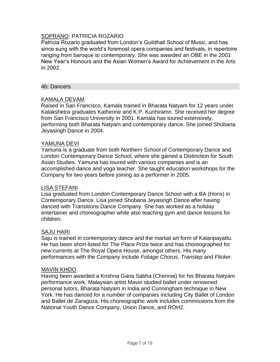### SOPRANO: PATRICIA ROZARIO

Patricia Rozario graduated from London's Guildhall School of Music, and has since sung with the world's foremost opera companies and festivals, in repertoire ranging from baroque to contemporary. She was awarded an OBE in the 2001 New Year's Honours and the Asian Women's Award for Achievement in the Arts in 2002.

#### 4b: Dancers

#### KAMALA DEVAM

Raised in San Francisco, Kamala trained in Bharata Natyam for 12 years under Kalakshetra graduates Katherine and K.P. Kunhiramn. She received her degree from San Francisco University in 2001. Kamala has toured extensively, performing both Bharata Natyam and contemporary dance. She joined Shobana Jeyasingh Dance in 2004.

#### YAMUNA DEVI

Yamuna is a graduate from both Northern School of Contemporary Dance and London Contemporary Dance School, where she gained a Distinction for South Asian Studies. Yamuna has toured with various companies and is an accomplished dance and yoga teacher. She taught education workshops for the Company for two years before joining as a performer in 2005.

#### LISA STEFANI

Lisa graduated from London Contemporary Dance School with a BA (Hons) in Contemporary Dance. Lisa joined Shobana Jeyasingh Dance after having danced with Transitions Dance Company. She has worked as a holiday entertainer and choreographer while also teaching gym and dance lessons for children.

#### SAJU HARI

Saju is trained in contemporary dance and the martial art form of Kalaripayattu. He has been short-listed for The Place Prize twice and has choreographed for new:currents at The Royal Opera House, amongst others. His many performances with the Company include *Foliage Chorus*, *Transtep* and *Flicker*.

#### MAVIN KHOO

Having been awarded a Krishna Gana Sabha (Chennai) for his Bharata Natyam performance work, Malaysian artist Mavin studied ballet under renowned personal tutors, Bharata Natyam in India and Cunningham technique in New York. He has danced for a number of companies including City Ballet of London and Ballet de Zaragoza. His choreographic work includes commissions from the National Youth Dance Company, Union Dance, and ROH2.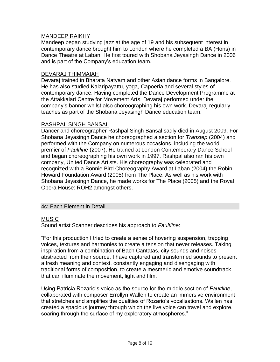#### MANDEEP RAIKHY

Mandeep began studying jazz at the age of 19 and his subsequent interest in contemporary dance brought him to London where he completed a BA (Hons) in Dance Theatre at Laban. He first toured with Shobana Jeyasingh Dance in 2006 and is part of the Company's education team.

#### DEVARAJ THIMMAIAH

Devaraj trained in Bharata Natyam and other Asian dance forms in Bangalore. He has also studied Kalaripayattu, yoga, Capoeria and several styles of contemporary dance. Having completed the Dance Development Programme at the Attakkalari Centre for Movement Arts, Devaraj performed under the company's banner whilst also choreographing his own work. Devaraj regularly teaches as part of the Shobana Jeyasingh Dance education team.

#### RASHPAL SINGH BANSAL

Dancer and choreographer Rashpal Singh Bansal sadly died in August 2009. For Shobana Jeyasingh Dance he choreographed a section for *Transtep* (2004) and performed with the Company on numerous occasions, including the world premier of *Faultline* (2007). He trained at London Contemporary Dance School and began choreographing his own work in 1997. Rashpal also ran his own company, United Dance Artists. His choreography was celebrated and recognized with a Bonnie Bird Choreography Award at Laban (2004) the Robin Howard Foundation Award (2005) from The Place. As well as his work with Shobana Jeyasingh Dance, he made works for The Place (2005) and the Royal Opera House: ROH2 amongst others.

#### 4c: Each Element in Detail

#### **MUSIC**

Sound artist Scanner describes his approach to *Faultline*:

"For this production I tried to create a sense of hovering suspension, trapping voices, textures and harmonies to create a tension that never releases. Taking inspiration from a combination of Bach Cantatas, city sounds and noises abstracted from their source, I have captured and transformed sounds to present a fresh meaning and context, constantly engaging and disengaging with traditional forms of composition, to create a mesmeric and emotive soundtrack that can illuminate the movement, light and film.

Using Patricia Rozario's voice as the source for the middle section of *Faultline*, I collaborated with composer Errollyn Wallen to create an immersive environment that stretches and amplifies the qualities of Rozario's vocalisations. Wallen has created a spacious journey through which the live voice can travel and explore, soaring through the surface of my exploratory atmospheres."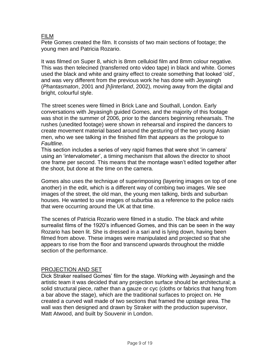#### FILM

Pete Gomes created the film. It consists of two main sections of footage; the young men and Patricia Rozario.

It was filmed on Super 8, which is 8mm celluloid film and 8mm colour negative. This was then telecined (transferred onto video tape) in black and white. Gomes used the black and white and grainy effect to create something that looked 'old', and was very different from the previous work he has done with Jeyasingh (*Phantasmaton*, 2001 and *[h]interland*, 2002), moving away from the digital and bright, colourful style.

The street scenes were filmed in Brick Lane and Southall, London. Early conversations with Jeyasingh guided Gomes, and the majority of this footage was shot in the summer of 2006, prior to the dancers beginning rehearsals. The rushes (unedited footage) were shown in rehearsal and inspired the dancers to create movement material based around the gesturing of the two young Asian men, who we see talking in the finished film that appears as the prologue to *Faultline*.

This section includes a series of very rapid frames that were shot 'in camera' using an 'intervalometer', a timing mechanism that allows the director to shoot one frame per second. This means that the montage wasn't edited together after the shoot, but done at the time on the camera.

Gomes also uses the technique of superimposing (layering images on top of one another) in the edit, which is a different way of combing two images. We see images of the street, the old man, the young men talking, birds and suburban houses. He wanted to use images of suburbia as a reference to the police raids that were occurring around the UK at that time.

The scenes of Patricia Rozario were filmed in a studio. The black and white surrealist films of the 1920's influenced Gomes, and this can be seen in the way Rozario has been lit. She is dressed in a sari and is lying down, having been filmed from above. These images were manipulated and projected so that she appears to rise from the floor and transcend upwards throughout the middle section of the performance.

#### PROJECTION AND SET

Dick Straker realised Gomes' film for the stage. Working with Jeyasingh and the artistic team it was decided that any projection surface should be architectural; a solid structural piece, rather than a gauze or cyc (cloths or fabrics that hang from a bar above the stage), which are the traditional surfaces to project on. He created a curved wall made of two sections that framed the upstage area. The wall was then designed and drawn by Straker with the production supervisor, Matt Atwood, and built by Souvenir in London.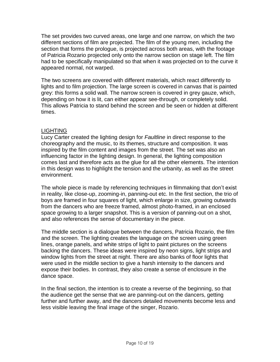The set provides two curved areas, one large and one narrow, on which the two different sections of film are projected. The film of the young men, including the section that forms the prologue, is projected across both areas, with the footage of Patricia Rozario projected only onto the narrow section on stage left. The film had to be specifically manipulated so that when it was projected on to the curve it appeared normal, not warped.

The two screens are covered with different materials, which react differently to lights and to film projection. The large screen is covered in canvas that is painted grey: this forms a solid wall. The narrow screen is covered in grey gauze, which, depending on how it is lit, can either appear see-through, or completely solid. This allows Patricia to stand behind the screen and be seen or hidden at different times.

#### LIGHTING

Lucy Carter created the lighting design for *Faultline* in direct response to the choreography and the music, to its themes, structure and composition. It was inspired by the film content and images from the street. The set was also an influencing factor in the lighting design. In general, the lighting composition comes last and therefore acts as the glue for all the other elements. The intention in this design was to highlight the tension and the urbanity, as well as the street environment.

The whole piece is made by referencing techniques in filmmaking that don't exist in reality, like close-up, zooming-in, panning-out etc. In the first section, the trio of boys are framed in four squares of light, which enlarge in size, growing outwards from the dancers who are freeze framed, almost photo-framed, in an enclosed space growing to a larger snapshot. This is a version of panning-out on a shot, and also references the sense of documentary in the piece.

The middle section is a dialogue between the dancers, Patricia Rozario, the film and the screen. The lighting creates the language on the screen using green lines, orange panels, and white strips of light to paint pictures on the screens backing the dancers. These ideas were inspired by neon signs, light strips and window lights from the street at night. There are also banks of floor lights that were used in the middle section to give a harsh intensity to the dancers and expose their bodies. In contrast, they also create a sense of enclosure in the dance space.

In the final section, the intention is to create a reverse of the beginning, so that the audience get the sense that we are panning-out on the dancers, getting further and further away, and the dancers detailed movements become less and less visible leaving the final image of the singer, Rozario.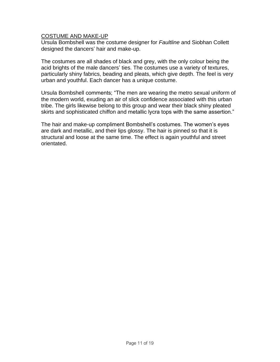#### COSTUME AND MAKE-UP

Ursula Bombshell was the costume designer for *Faultline* and Siobhan Collett designed the dancers' hair and make-up.

The costumes are all shades of black and grey, with the only colour being the acid brights of the male dancers' ties. The costumes use a variety of textures, particularly shiny fabrics, beading and pleats, which give depth. The feel is very urban and youthful. Each dancer has a unique costume.

Ursula Bombshell comments; "The men are wearing the metro sexual uniform of the modern world, exuding an air of slick confidence associated with this urban tribe. The girls likewise belong to this group and wear their black shiny pleated skirts and sophisticated chiffon and metallic lycra tops with the same assertion."

The hair and make-up compliment Bombshell's costumes. The women's eyes are dark and metallic, and their lips glossy. The hair is pinned so that it is structural and loose at the same time. The effect is again youthful and street orientated.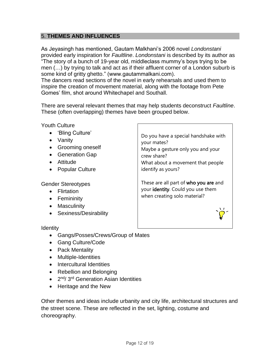#### 5. **THEMES AND INFLUENCES**

As Jeyasingh has mentioned, Gautam Malkhani's 2006 novel *Londonstani* provided early inspiration for *Faultline*. *Londonstani* is described by its author as "The story of a bunch of 19-year old, middleclass mummy's boys trying to be men (…) by trying to talk and act as if their affluent corner of a London suburb is some kind of gritty ghetto." (www.gautammalkani.com).

The dancers read sections of the novel in early rehearsals and used them to inspire the creation of movement material, along with the footage from Pete Gomes' film, shot around Whitechapel and Southall.

There are several relevant themes that may help students deconstruct *Faultline*. These (often overlapping) themes have been grouped below.

Youth Culture

- 'Bling Culture'
- Vanity
- Grooming oneself
- Generation Gap
- Attitude
- Popular Culture

Gender Stereotypes

- Flirtation
- Femininity
- Masculinity
- Sexiness/Desirability

**Identity** 

- Gangs/Posses/Crews/Group of Mates
- Gang Culture/Code
- Pack Mentality
- Multiple-Identities
- Intercultural Identities
- Rebellion and Belonging
- 2<sup>nd</sup>/3<sup>rd</sup> Generation Asian Identities
- Heritage and the New

Other themes and ideas include urbanity and city life, architectural structures and the street scene. These are reflected in the set, lighting, costume and choreography.

Do you have a special handshake with your mates? Maybe a gesture only you and your crew share? What about a movement that people

identify as yours?

These are all part of who you are and your identity. Could you use them when creating solo material?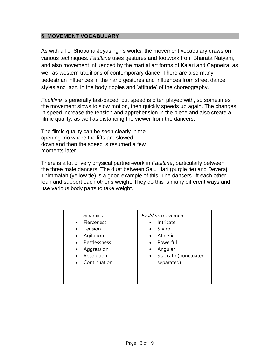#### 6. **MOVEMENT VOCABULARY**

As with all of Shobana Jeyasingh's works, the movement vocabulary draws on various techniques. *Faultline* uses gestures and footwork from Bharata Natyam, and also movement influenced by the martial art forms of Kalari and Capoeira, as well as western traditions of contemporary dance. There are also many pedestrian influences in the hand gestures and influences from street dance styles and jazz, in the body ripples and 'attitude' of the choreography.

*Faultline* is generally fast-paced, but speed is often played with, so sometimes the movement slows to slow motion, then quickly speeds up again. The changes in speed increase the tension and apprehension in the piece and also create a filmic quality, as well as distancing the viewer from the dancers.

The filmic quality can be seen clearly in the opening trio where the lifts are slowed down and then the speed is resumed a few moments later.

There is a lot of very physical partner-work in *Faultline*, particularly between the three male dancers. The duet between Saju Hari (purple tie) and Deveraj Thimmaiah (yellow tie) is a good example of this. The dancers lift each other, lean and support each other's weight. They do this is many different ways and use various body parts to take weight.

#### Dynamics:

- Fierceness
- **Tension**
- Agitation
- Restlessness
- **Aggression**
- **Resolution**
- **Continuation**

#### Faultline movement is:

- Intricate
- Sharp
- **Athletic**
- Powerful
- Angular
- Staccato (punctuated, separated)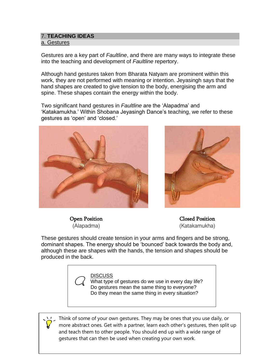#### 7. **TEACHING IDEAS** a. Gestures

Gestures are a key part of *Faultline*, and there are many ways to integrate these into the teaching and development of *Faultline* repertory.

Although hand gestures taken from Bharata Natyam are prominent within this work, they are not performed with meaning or intention. Jeyasingh says that the hand shapes are created to give tension to the body, energising the arm and spine. These shapes contain the energy within the body.

Two significant hand gestures in *Faultline* are the 'Alapadma' and 'Katakamukha.' Within Shobana Jeyasingh Dance's teaching, we refer to these gestures as 'open' and 'closed.'





Open Position (Alapadma)

Closed Position (Katakamukha)

These gestures should create tension in your arms and fingers and be strong, dominant shapes. The energy should be 'bounced' back towards the body and, although these are shapes with the hands, the tension and shapes should be produced in the back.



 What type of gestures do we use in every day life? Do gestures mean the same thing to everyone? Do they mean the same thing in every situation?

Think of some of your own gestures. They may be ones that you use daily, or more abstract ones. Get with a partner, learn each other's gestures, then split up and teach them to other people. You should end up with a wide range of gestures that can then be used when creating your own work.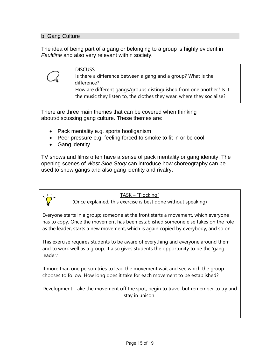#### b. Gang Culture

The idea of being part of a gang or belonging to a group is highly evident in *Faultline* and also very relevant within society.

**DISCUSS** Is there a difference between a gang and a group? What is the difference? How are different gangs/groups distinguished from one another? Is it the music they listen to, the clothes they wear, where they socialise?

There are three main themes that can be covered when thinking about/discussing gang culture. These themes are:

- Pack mentality e.g. sports hooliganism
- Peer pressure e.g. feeling forced to smoke to fit in or be cool
- Gang identity

TV shows and films often have a sense of pack mentality or gang identity. The opening scenes of *West Side Story* can introduce how choreography can be used to show gangs and also gang identity and rivalry.

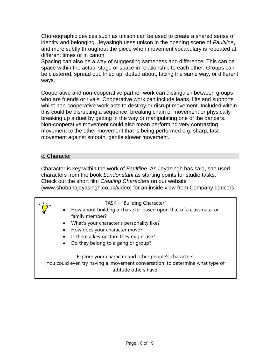Choreographic devices such as unison can be used to create a shared sense of identity and belonging. Jeyasingh uses unison in the opening scene of *Faultline*, and more subtly throughout the piece when movement vocabulary is repeated at different times or in canon.

Spacing can also be a way of suggesting sameness and difference. This can be space within the actual stage or space in relationship to each other. Groups can be clustered, spread out, lined up, dotted about, facing the same way, or different ways.

Cooperative and non-cooperative partner-work can distinguish between groups who are friends or rivals. Cooperative work can include leans, lifts and supports whilst non-cooperative work acts to destroy or disrupt movement. Included within this could be disrupting a sequence, breaking chain of movement or physically breaking up a duet by getting in the way or manipulating one of the dancers. Non-cooperative movement could also mean performing very contrasting movement to the other movement that is being performed e.g. sharp, fast movement against smooth, gentle slower movement.

#### c. Character

Character is key within the work of *Faultline*. As Jeyasingh has said, she used characters from the book *Londonstani* as starting points for studio tasks. Check out the short film *Creating Characters* on our website (www.shobanajeyasingh.co.uk/video) for an inside view from Company dancers.



- How about building a character based upon that of a classmate, or family member?
- What's your character's personality like?
- How does your character move?
- Is there a key gesture they might use?
- Do they belong to a gang or group?

Explore your character and other people's characters.

You could even try having a 'movement conversation' to determine what type of attitude others have!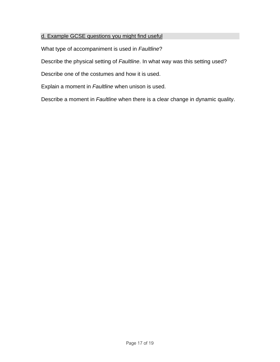#### d. Example GCSE questions you might find useful

What type of accompaniment is used in *Faultline*?

Describe the physical setting of *Faultline*. In what way was this setting used?

Describe one of the costumes and how it is used.

Explain a moment in *Faultline* when unison is used.

Describe a moment in *Faultline* when there is a clear change in dynamic quality.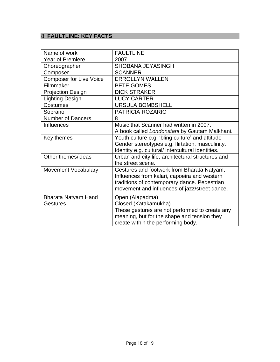## 8. **FAULTLINE: KEY FACTS**

| Name of work                   | <b>FAULTLINE</b>                                  |
|--------------------------------|---------------------------------------------------|
| <b>Year of Premiere</b>        | 2007                                              |
| Choreographer                  | SHOBANA JEYASINGH                                 |
| Composer                       | <b>SCANNER</b>                                    |
| <b>Composer for Live Voice</b> | <b>ERROLLYN WALLEN</b>                            |
| Filmmaker                      | PETE GOMES                                        |
| <b>Projection Design</b>       | <b>DICK STRAKER</b>                               |
| Lighting Design                | <b>LUCY CARTER</b>                                |
| Costumes                       | <b>URSULA BOMBSHELL</b>                           |
| Soprano                        | PATRICIA ROZARIO                                  |
| <b>Number of Dancers</b>       | 8                                                 |
| <b>Influences</b>              | Music that Scanner had written in 2007.           |
|                                | A book called Londonstani by Gautam Malkhani.     |
| Key themes                     | Youth culture e.g. 'bling culture' and attitude   |
|                                | Gender stereotypes e.g. flirtation, masculinity.  |
|                                | Identity e.g. cultural/ intercultural identities. |
| Other themes/ideas             | Urban and city life, architectural structures and |
|                                | the street scene.                                 |
| <b>Movement Vocabulary</b>     | Gestures and footwork from Bharata Natyam.        |
|                                | Influences from kalari, capoeira and western      |
|                                | traditions of contemporary dance. Pedestrian      |
|                                | movement and influences of jazz/street dance.     |
| Bharata Natyam Hand            | Open (Alapadma)                                   |
| <b>Gestures</b>                | Closed (Katakamukha)                              |
|                                | These gestures are not performed to create any    |
|                                | meaning, but for the shape and tension they       |
|                                | create within the performing body.                |